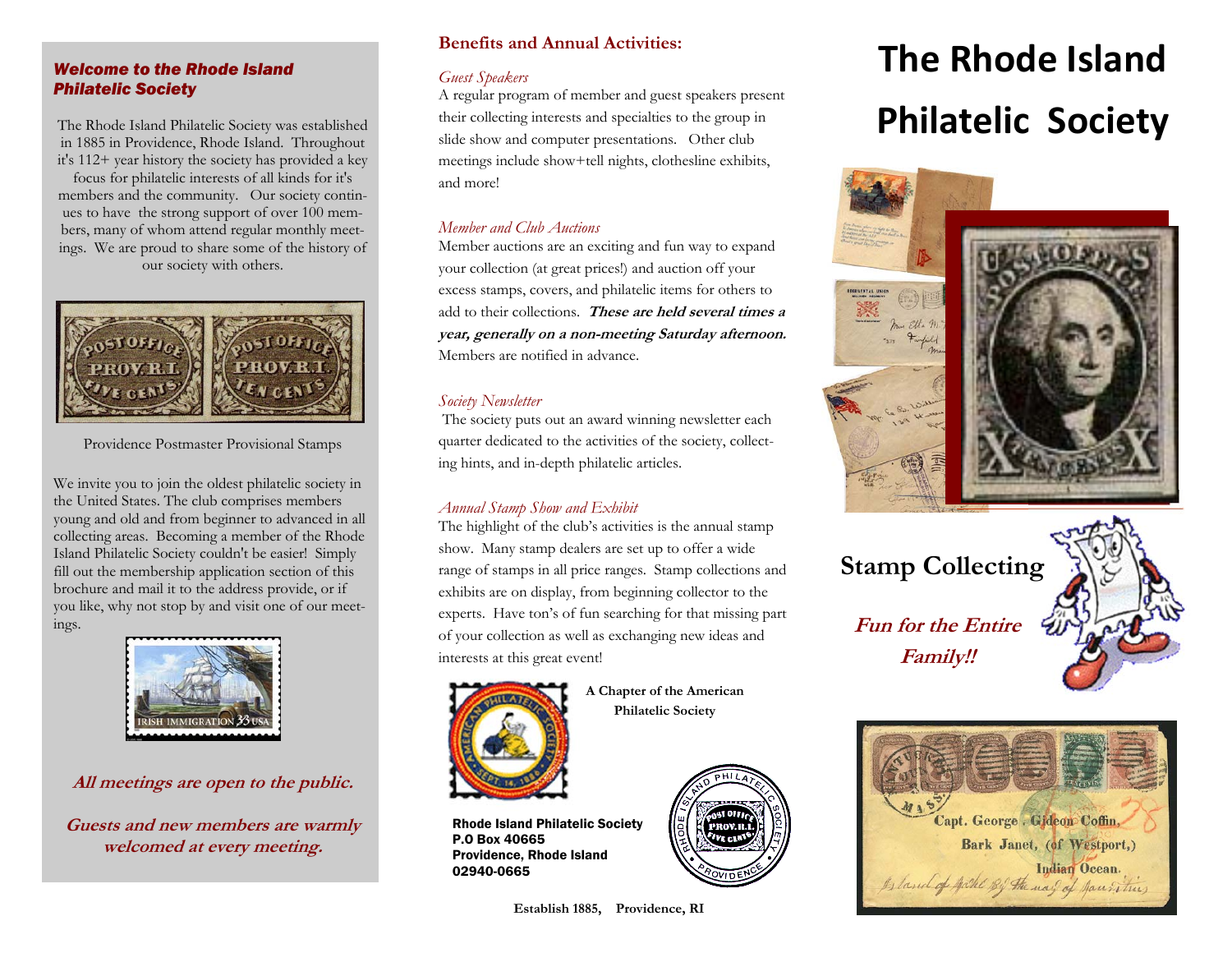## *Welcome to the Rhode Island Philatelic Society*

The Rhode Island Philatelic Society was established in 1885 in Providence, Rhode Island. Throughout it's 112+ year history the society has provided a key

focus for philatelic interests of all kinds for it's members and the community. Our society continues to have the strong support of over 100 members, many of whom attend regular monthly meetings. We are proud to share some of the history of our society with others.



Providence Postmaster Provisional Stamps

We invite you to join the oldest philatelic society in the United States. The club comprises members young and old and from beginner to advanced in all collecting areas. Becoming a member of the Rhode Island Philatelic Society couldn't be easier! Simply fill out the membership application section of this brochure and mail it to the address provide, or if you like, why not stop by and visit one of our meetings.



# **All meetings are open to the public.**

**Guests and new members are warmly welcomed at every meeting.** 

## **Benefits and Annual Activities:**

#### *Guest Speakers*

A regular program of member and guest speakers present their collecting interests and specialties to the group in slide show and computer presentations. Other club meetings include show+tell nights, clothesline exhibits, and more!

## *Member and Club Auctions*

 Member auctions are an exciting and fun way to expand your collection (at great prices!) and auction off your excess stamps, covers, and philatelic items for others to add to their collections. **These are held several times a year, generally on a non-meeting Saturday afternoon.**  Members are notified in advance.

# *Society Newsletter*

 The society puts out an award winning newsletter each quarter dedicated to the activities of the society, collecting hints, and in-depth philatelic articles.

# *Annual Stamp Show and Exhibit*

The highlight of the club's activities is the annual stamp show. Many stamp dealers are set up to offer a wide range of stamps in all price ranges. Stamp collections and exhibits are on display, from beginning collector to the experts. Have ton's of fun searching for that missing part of your collection as well as exchanging new ideas and interests at this great event!



P.O Box 40665

02940-0665

Rhode Island Philatelic Society

Providence, Rhode Island

**A Chapter of the American Philatelic Society** 



#### **Establish 1885, Providence, RI**

# **The Rhode Island Philatelic Society**



**Fun for the Entire Family!! Stamp Collecting**